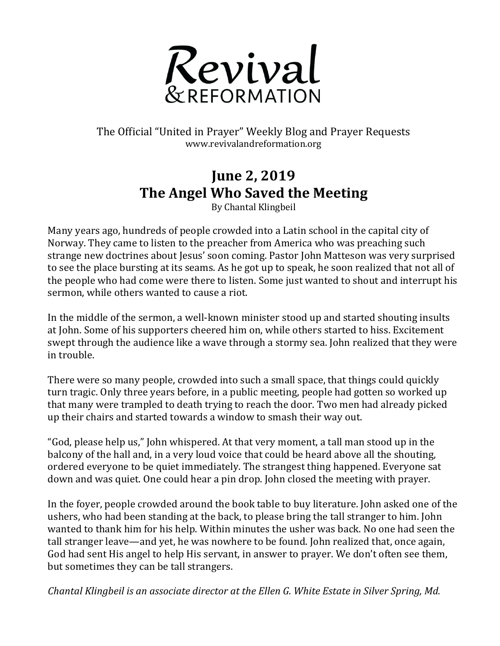

The Official "United in Prayer" Weekly Blog and Prayer Requests www.revivalandreformation.org

## **June 2, 2019 The Angel Who Saved the Meeting**

By Chantal Klingbeil

Many years ago, hundreds of people crowded into a Latin school in the capital city of Norway. They came to listen to the preacher from America who was preaching such strange new doctrines about Jesus' soon coming. Pastor John Matteson was very surprised to see the place bursting at its seams. As he got up to speak, he soon realized that not all of the people who had come were there to listen. Some just wanted to shout and interrupt his sermon, while others wanted to cause a riot.

In the middle of the sermon, a well-known minister stood up and started shouting insults at John. Some of his supporters cheered him on, while others started to hiss. Excitement swept through the audience like a wave through a stormy sea. John realized that they were in trouble.

There were so many people, crowded into such a small space, that things could quickly turn tragic. Only three years before, in a public meeting, people had gotten so worked up that many were trampled to death trying to reach the door. Two men had already picked up their chairs and started towards a window to smash their way out.

"God, please help us," John whispered. At that very moment, a tall man stood up in the balcony of the hall and, in a very loud voice that could be heard above all the shouting, ordered everyone to be quiet immediately. The strangest thing happened. Everyone sat down and was quiet. One could hear a pin drop. John closed the meeting with prayer.

In the foyer, people crowded around the book table to buy literature. John asked one of the ushers, who had been standing at the back, to please bring the tall stranger to him. John wanted to thank him for his help. Within minutes the usher was back. No one had seen the tall stranger leave—and yet, he was nowhere to be found. John realized that, once again, God had sent His angel to help His servant, in answer to prayer. We don't often see them, but sometimes they can be tall strangers.

*Chantal Klingbeil is an associate director at the Ellen G. White Estate in Silver Spring, Md.*